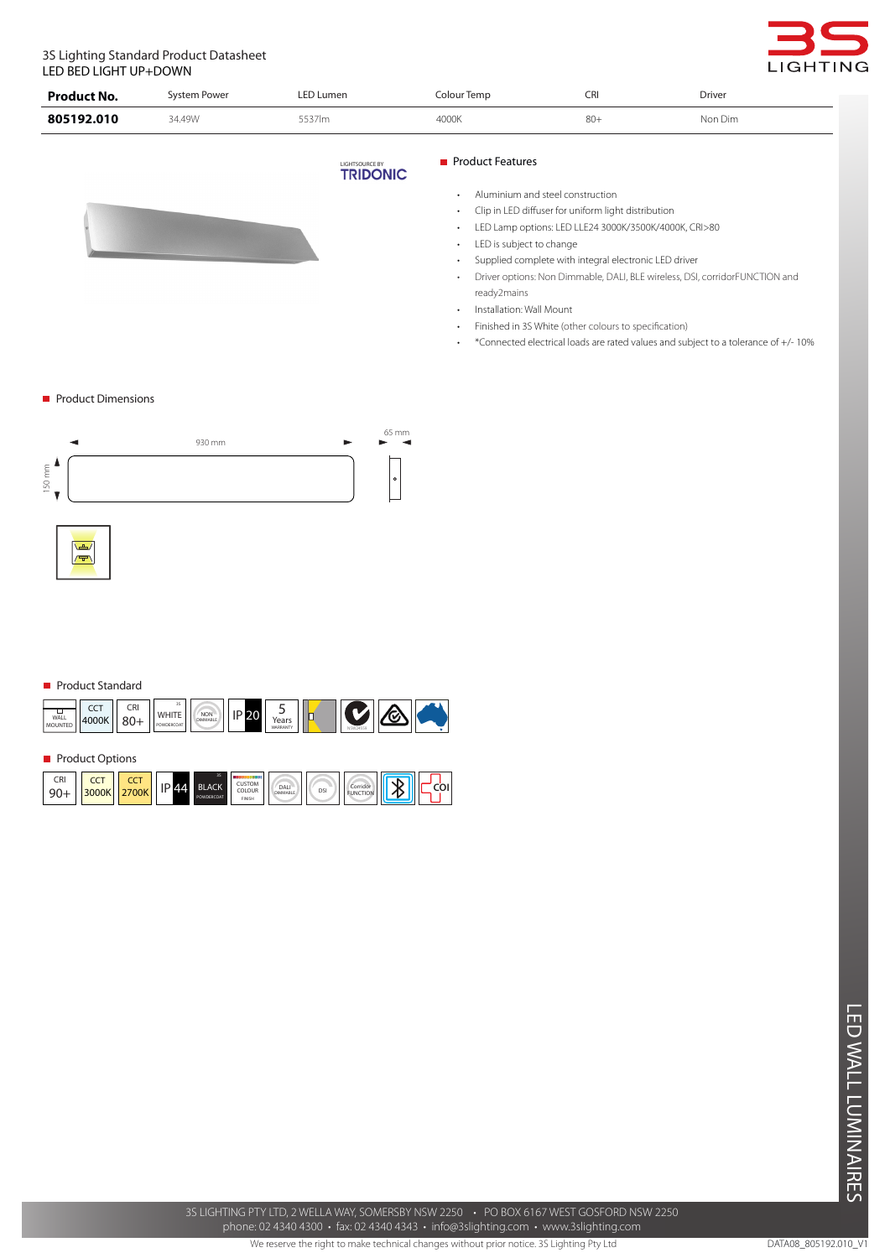#### 3S Lighting Standard Product Datasheet LED BED LIGHT UP+DOWN



| <b>Product No.</b> | Svstem Power | <b>LED Lumen</b> | Colour Temp | CRI   | <b>Driver</b> |
|--------------------|--------------|------------------|-------------|-------|---------------|
| 805192.010         | 34.49W       | 5537lm           | 4000K       | $80+$ | Non Dim       |



## LIGHTSOURCE BY<br>**TRIDONIC**

### **Product Features**

- Aluminium and steel construction
- • Clip in LED diffuser for uniform light distribution
- LED Lamp options: LED LLE24 3000K/3500K/4000K, CRI>80
- LED is subject to change
- Supplied complete with integral electronic LED driver
- • Driver options: Non Dimmable, DALI, BLE wireless, DSI, corridorFUNCTION and ready2mains
- Installation: Wall Mount
- • Finished in 3S White (other colours to specification)
- • \*Connected electrical loads are rated values and subject to a tolerance of +/- 10%

#### **Product Dimensions**



#### **Product Standard CCT** CRI WHITE ┯ IP 20 5 NON b 4000K 80+ WALL Years<br>WARRANTY DIMMABLE MOUNTED POWDERCOAT

**Product Options** 



3S LIGHTING PTY LTD, 2 WELLA WAY, SOMERSBY NSW 2250 • PO BOX 6167 WEST GOSFORD NSW 2250 phone: 02 4340 4300 • fax: 02 4340 4343 • info@3slighting.com • www.3slighting.com